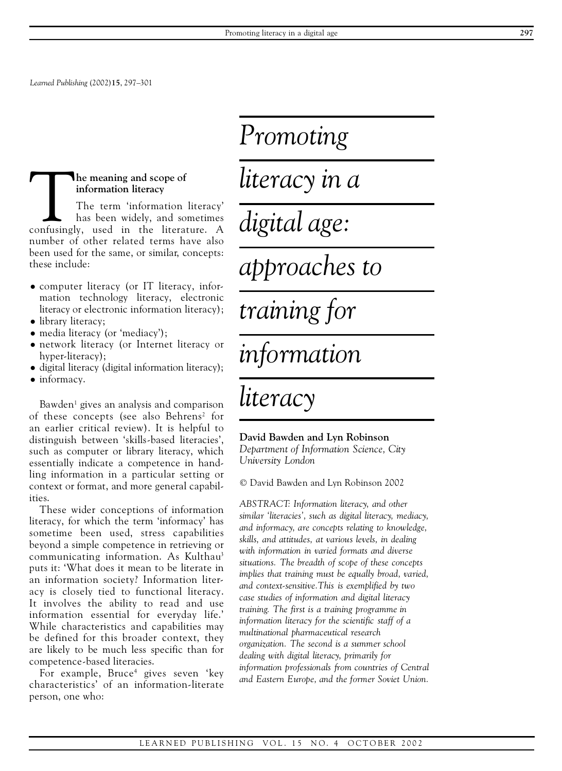*Learned Publishing* (2002)**15**, 297–301

#### **he meaning and scope of information literacy**

The meaning and scope of<br>
information literacy<br>
The term 'information literacy'<br>
has been widely, and sometimes<br>
confusingly, used in the literature. A The term 'information literacy' has been widely, and sometimes number of other related terms have also been used for the same, or similar, concepts: these include:

- computer literacy (or IT literacy, information technology literacy, electronic literacy or electronic information literacy);
- library literacy;
- media literacy (or 'mediacy');
- <sup>d</sup> network literacy (or Internet literacy or hyper-literacy);
- digital literacy (digital information literacy);
- informacy.

Bawden<sup>1</sup> gives an analysis and comparison of these concepts (see also Behrens<sup>2</sup> for an earlier critical review). It is helpful to distinguish between 'skills-based literacies', such as computer or library literacy, which essentially indicate a competence in handling information in a particular setting or context or format, and more general capabilities.

These wider conceptions of information literacy, for which the term 'informacy' has sometime been used, stress capabilities beyond a simple competence in retrieving or communicating information. As Kulthau<sup>3</sup> puts it: 'What does it mean to be literate in an information society? Information literacy is closely tied to functional literacy. It involves the ability to read and use information essential for everyday life.' While characteristics and capabilities may be defined for this broader context, they are likely to be much less specific than for competence-based literacies.

For example, Bruce<sup>4</sup> gives seven 'key characteristics' of an information-literate person, one who:

# *Promoting*

*literacy in a*

*digital age:*

*approaches to*

*training for*

## *information*

*literacy*

#### **David Bawden and Lyn Robinson**

*Department of Information Science, City University London*

© David Bawden and Lyn Robinson 2002

*ABSTRACT: Information literacy, and other similar 'literacies', such as digital literacy, mediacy, and informacy, are concepts relating to knowledge, skills, and attitudes, at various levels, in dealing with information in varied formats and diverse situations. The breadth of scope of these concepts implies that training must be equally broad, varied, and context-sensitive.This is exemplified by two case studies of information and digital literacy training. The first is a training programme in information literacy for the scientific staff of a multinational pharmaceutical research organization. The second is a summer school dealing with digital literacy, primarily for information professionals from countries of Central and Eastern Europe, and the former Soviet Union.*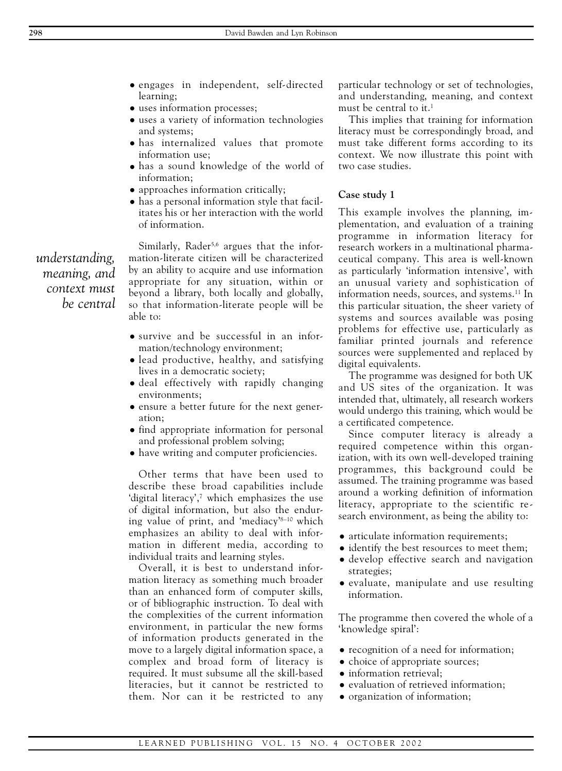- <sup>d</sup> engages in independent, self-directed learning;
- $\bullet$  uses information processes:
- uses a variety of information technologies and systems;
- $\bullet$  has internalized values that promote information use;
- has a sound knowledge of the world of information;
- approaches information critically;
- has a personal information style that facilitates his or her interaction with the world of information.

*understanding, meaning, and context must be central*

Similarly, Rader<sup>5,6</sup> argues that the information-literate citizen will be characterized by an ability to acquire and use information appropriate for any situation, within or beyond a library, both locally and globally, so that information-literate people will be able to:

- survive and be successful in an information/technology environment;
- lead productive, healthy, and satisfying lives in a democratic society;
- deal effectively with rapidly changing environments;
- ensure a better future for the next generation;
- find appropriate information for personal and professional problem solving;
- have writing and computer proficiencies.

Other terms that have been used to describe these broad capabilities include 'digital literacy',<sup>7</sup> which emphasizes the use of digital information, but also the enduring value of print, and 'mediacy'8–10 which emphasizes an ability to deal with information in different media, according to individual traits and learning styles.

Overall, it is best to understand information literacy as something much broader than an enhanced form of computer skills, or of bibliographic instruction. To deal with the complexities of the current information environment, in particular the new forms of information products generated in the move to a largely digital information space, a complex and broad form of literacy is required. It must subsume all the skill-based literacies, but it cannot be restricted to them. Nor can it be restricted to any particular technology or set of technologies, and understanding, meaning, and context must be central to it.<sup>1</sup>

This implies that training for information literacy must be correspondingly broad, and must take different forms according to its context. We now illustrate this point with two case studies.

#### **Case study 1**

This example involves the planning, implementation, and evaluation of a training programme in information literacy for research workers in a multinational pharmaceutical company. This area is well-known as particularly 'information intensive', with an unusual variety and sophistication of information needs, sources, and systems.<sup>11</sup> In this particular situation, the sheer variety of systems and sources available was posing problems for effective use, particularly as familiar printed journals and reference sources were supplemented and replaced by digital equivalents.

The programme was designed for both UK and US sites of the organization. It was intended that, ultimately, all research workers would undergo this training, which would be a certificated competence.

Since computer literacy is already a required competence within this organization, with its own well-developed training programmes, this background could be assumed. The training programme was based around a working definition of information literacy, appropriate to the scientific research environment, as being the ability to:

- articulate information requirements;
- identify the best resources to meet them;
- develop effective search and navigation strategies;
- <sup>d</sup> evaluate, manipulate and use resulting information.

The programme then covered the whole of a 'knowledge spiral':

- recognition of a need for information;
- choice of appropriate sources;
- information retrieval:
- $\bullet$  evaluation of retrieved information;
- organization of information;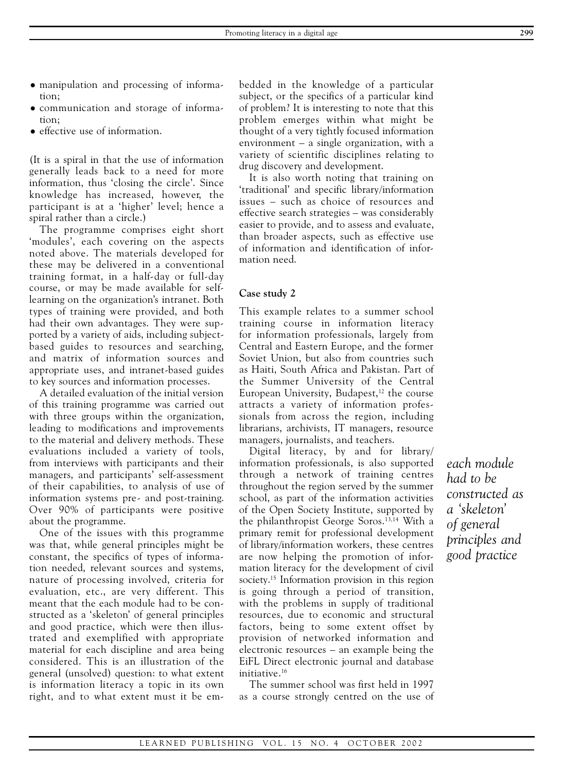- manipulation and processing of information;
- communication and storage of information;
- effective use of information.

(It is a spiral in that the use of information generally leads back to a need for more information, thus 'closing the circle'. Since knowledge has increased, however, the participant is at a 'higher' level; hence a spiral rather than a circle.)

The programme comprises eight short 'modules', each covering on the aspects noted above. The materials developed for these may be delivered in a conventional training format, in a half-day or full-day course, or may be made available for selflearning on the organization's intranet. Both types of training were provided, and both had their own advantages. They were supported by a variety of aids, including subjectbased guides to resources and searching, and matrix of information sources and appropriate uses, and intranet-based guides to key sources and information processes.

A detailed evaluation of the initial version of this training programme was carried out with three groups within the organization, leading to modifications and improvements to the material and delivery methods. These evaluations included a variety of tools, from interviews with participants and their managers, and participants' self-assessment of their capabilities, to analysis of use of information systems pre- and post-training. Over 90% of participants were positive about the programme.

One of the issues with this programme was that, while general principles might be constant, the specifics of types of information needed, relevant sources and systems, nature of processing involved, criteria for evaluation, etc., are very different. This meant that the each module had to be constructed as a 'skeleton' of general principles and good practice, which were then illustrated and exemplified with appropriate material for each discipline and area being considered. This is an illustration of the general (unsolved) question: to what extent is information literacy a topic in its own right, and to what extent must it be embedded in the knowledge of a particular subject, or the specifics of a particular kind of problem? It is interesting to note that this problem emerges within what might be thought of a very tightly focused information environment – a single organization, with a variety of scientific disciplines relating to drug discovery and development.

It is also worth noting that training on 'traditional' and specific library/information issues – such as choice of resources and effective search strategies – was considerably easier to provide, and to assess and evaluate, than broader aspects, such as effective use of information and identification of information need.

#### **Case study 2**

This example relates to a summer school training course in information literacy for information professionals, largely from Central and Eastern Europe, and the former Soviet Union, but also from countries such as Haiti, South Africa and Pakistan. Part of the Summer University of the Central European University, Budapest, $12$  the course attracts a variety of information professionals from across the region, including librarians, archivists, IT managers, resource managers, journalists, and teachers.

Digital literacy, by and for library/ information professionals, is also supported through a network of training centres throughout the region served by the summer school, as part of the information activities of the Open Society Institute, supported by the philanthropist George Soros.13,14 With a primary remit for professional development of library/information workers, these centres are now helping the promotion of information literacy for the development of civil society.<sup>15</sup> Information provision in this region is going through a period of transition, with the problems in supply of traditional resources, due to economic and structural factors, being to some extent offset by provision of networked information and electronic resources – an example being the EiFL Direct electronic journal and database initiative.<sup>16</sup>

The summer school was first held in 1997 as a course strongly centred on the use of *each module had to be constructed as a 'skeleton' of general principles and good practice*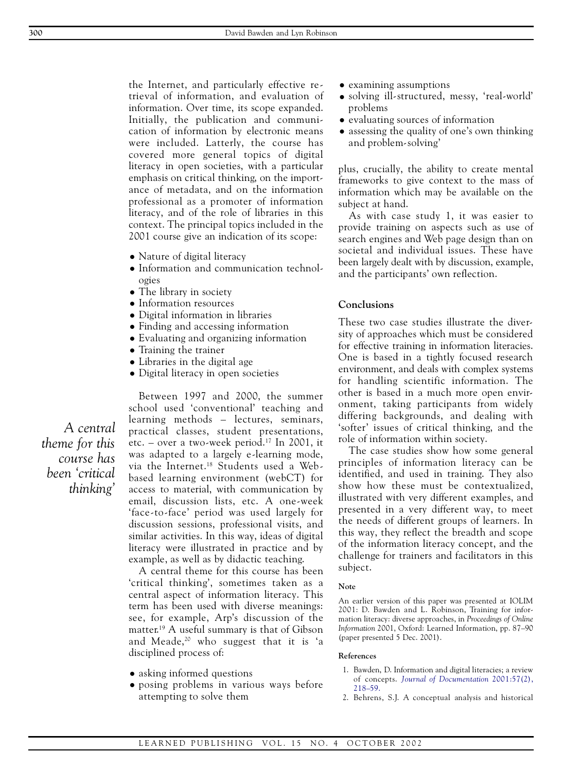the Internet, and particularly effective retrieval of information, and evaluation of information. Over time, its scope expanded. Initially, the publication and communi cation of information by electronic means were included. Latterly, the course has covered more general topics of digital literacy in open societies, with a particular emphasis on critical thinking, on the importance of metadata, and on the information professional as a promoter of information literacy, and of the role of libraries in this context. The principal topics included in the 2001 course give an indication of its scope:

- Nature of digital literacy
- Information and communication technologies
- The library in society
- Information resources
- Digital information in libraries
- Finding and accessing information
- Evaluating and organizing information
- Training the trainer
- Libraries in the digital age
- Digital literacy in open societies

*A central theme for this course has been 'critical thinking'*

Between 1997 and 2000, the summer school used 'conventional' teaching and learning methods – lectures, seminars, practical classes, student presentations, etc. – over a two-week period.<sup>17</sup> In 2001, it was adapted to a largely e-learning mode, via the Internet.<sup>18</sup> Students used a Web based learning environment (webCT) for access to material, with communication by email, discussion lists, etc. A one-week 'face-to-face' period was used largely for discussion sessions, professional visits, and similar activities. In this way, ideas of digital literacy were illustrated in practice and by example, as well as by didactic teaching.

A central theme for this course has been 'critical thinking', sometimes taken as a central aspect of information literacy. This term has been used with diverse meanings: see, for example, Arp's discussion of the matter.<sup>19</sup> A useful summary is that of Gibson and Meade, $20$  who suggest that it is 'a disciplined process of:

- asking informed questions
- <sup>d</sup> posing problems in various ways before attempting to solve them
- examining assumptions
- solving ill-structured, messy, 'real-world' problems
- evaluating sources of information
- assessing the quality of one's own thinking and problem-solving'

plus, crucially, the ability to create mental frameworks to give context to the mass of information which may be available on the subject at hand.

As with case study 1, it was easier to provide training on aspects such as use of search engines and Web page design than on societal and individual issues. These have been largely dealt with by discussion, example, and the participants' own reflection.

#### **Conclusions**

These two case studies illustrate the diversity of approaches which must be considered for effective training in information literacies. One is based in a tightly focused research environment, and deals with complex systems for handling scientific information. The other is based in a much more open environment, taking participants from widely differing backgrounds, and dealing with 'softer' issues of critical thinking, and the role of information within society.

The case studies show how some general principles of information literacy can be identified, and used in training. They also show how these must be contextualized, illustrated with very different examples, and presented in a very different way, to meet the needs of different groups of learners. In this way, they reflect the breadth and scope of the information literacy concept, and the challenge for trainers and facilitators in this subject.

#### **Note**

An earlier version of this paper was presented at IOLIM 2001: D. Bawden and L. Robinson, Training for information literacy: diverse approaches, in *Proceedings of Online Information* 2001, Oxford: Learned Information, pp. 87–90 (paper presented 5 Dec. 2001).

#### **References**

- 1. Bawden, D. Information and digital literacies; a review of concepts. *Journal of [Documentation](http://www.ingentaconnect.com/content/external-references?article=/0022-0418^282001^2957:2L.218[aid=1991946])* 2001:57(2), [218–59.](http://www.ingentaconnect.com/content/external-references?article=/0022-0418^282001^2957:2L.218[aid=1991946])
- 2. Behrens, S.J. A conceptual analysis and historical